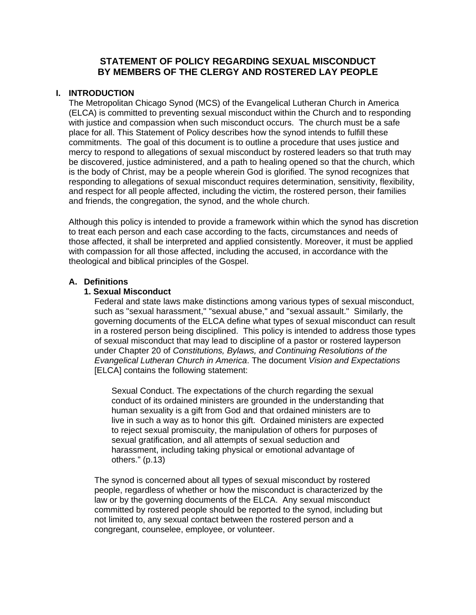# **STATEMENT OF POLICY REGARDING SEXUAL MISCONDUCT BY MEMBERS OF THE CLERGY AND ROSTERED LAY PEOPLE**

# **I. INTRODUCTION**

The Metropolitan Chicago Synod (MCS) of the Evangelical Lutheran Church in America (ELCA) is committed to preventing sexual misconduct within the Church and to responding with justice and compassion when such misconduct occurs. The church must be a safe place for all. This Statement of Policy describes how the synod intends to fulfill these commitments. The goal of this document is to outline a procedure that uses justice and mercy to respond to allegations of sexual misconduct by rostered leaders so that truth may be discovered, justice administered, and a path to healing opened so that the church, which is the body of Christ, may be a people wherein God is glorified. The synod recognizes that responding to allegations of sexual misconduct requires determination, sensitivity, flexibility, and respect for all people affected, including the victim, the rostered person, their families and friends, the congregation, the synod, and the whole church.

Although this policy is intended to provide a framework within which the synod has discretion to treat each person and each case according to the facts, circumstances and needs of those affected, it shall be interpreted and applied consistently. Moreover, it must be applied with compassion for all those affected, including the accused, in accordance with the theological and biblical principles of the Gospel.

# **A. Definitions**

# **1. Sexual Misconduct**

Federal and state laws make distinctions among various types of sexual misconduct, such as "sexual harassment," "sexual abuse," and "sexual assault." Similarly, the governing documents of the ELCA define what types of sexual misconduct can result in a rostered person being disciplined. This policy is intended to address those types of sexual misconduct that may lead to discipline of a pastor or rostered layperson under Chapter 20 of *Constitutions, Bylaws, and Continuing Resolutions of the Evangelical Lutheran Church in America*. The document *Vision and Expectations* [ELCA] contains the following statement:

Sexual Conduct. The expectations of the church regarding the sexual conduct of its ordained ministers are grounded in the understanding that human sexuality is a gift from God and that ordained ministers are to live in such a way as to honor this gift. Ordained ministers are expected to reject sexual promiscuity, the manipulation of others for purposes of sexual gratification, and all attempts of sexual seduction and harassment, including taking physical or emotional advantage of others." (p.13)

The synod is concerned about all types of sexual misconduct by rostered people, regardless of whether or how the misconduct is characterized by the law or by the governing documents of the ELCA. Any sexual misconduct committed by rostered people should be reported to the synod, including but not limited to, any sexual contact between the rostered person and a congregant, counselee, employee, or volunteer.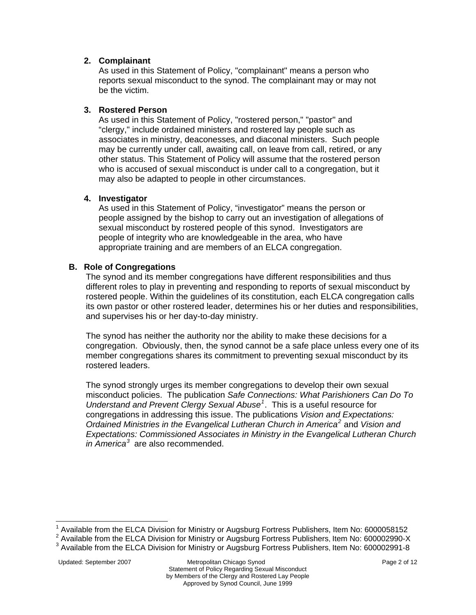# **2. Complainant**

As used in this Statement of Policy, "complainant" means a person who reports sexual misconduct to the synod. The complainant may or may not be the victim.

# **3. Rostered Person**

As used in this Statement of Policy, "rostered person," "pastor" and "clergy," include ordained ministers and rostered lay people such as associates in ministry, deaconesses, and diaconal ministers. Such people may be currently under call, awaiting call, on leave from call, retired, or any other status. This Statement of Policy will assume that the rostered person who is accused of sexual misconduct is under call to a congregation, but it may also be adapted to people in other circumstances.

# **4. Investigator**

As used in this Statement of Policy, "investigator" means the person or people assigned by the bishop to carry out an investigation of allegations of sexual misconduct by rostered people of this synod. Investigators are people of integrity who are knowledgeable in the area, who have appropriate training and are members of an ELCA congregation.

# **B. Role of Congregations**

 The synod and its member congregations have different responsibilities and thus different roles to play in preventing and responding to reports of sexual misconduct by rostered people. Within the guidelines of its constitution, each ELCA congregation calls its own pastor or other rostered leader, determines his or her duties and responsibilities, and supervises his or her day-to-day ministry.

The synod has neither the authority nor the ability to make these decisions for a congregation. Obviously, then, the synod cannot be a safe place unless every one of its member congregations shares its commitment to preventing sexual misconduct by its rostered leaders.

The synod strongly urges its member congregations to develop their own sexual misconduct policies. The publication *Safe Connections: What Parishioners Can Do To Understand and Prevent Clergy Sexual Abuse[1](#page-1-0)* . This is a useful resource for congregations in addressing this issue. The publications *Vision and Expectations: Ordained Ministries in the Evangelical Lutheran Church in America[2](#page-1-1)* and *Vision and Expectations: Commissioned Associates in Ministry in the Evangelical Lutheran Church in America[3](#page-1-2)* are also recommended.

<sup>1</sup> Available from the ELCA Division for Ministry or Augsburg Fortress Publishers, Item No: 6000058152

<span id="page-1-0"></span> $2$  Available from the ELCA Division for Ministry or Augsburg Fortress Publishers, Item No: 600002990-X

<span id="page-1-2"></span><span id="page-1-1"></span><sup>&</sup>lt;sup>3</sup> Available from the ELCA Division for Ministry or Augsburg Fortress Publishers, Item No: 600002991-8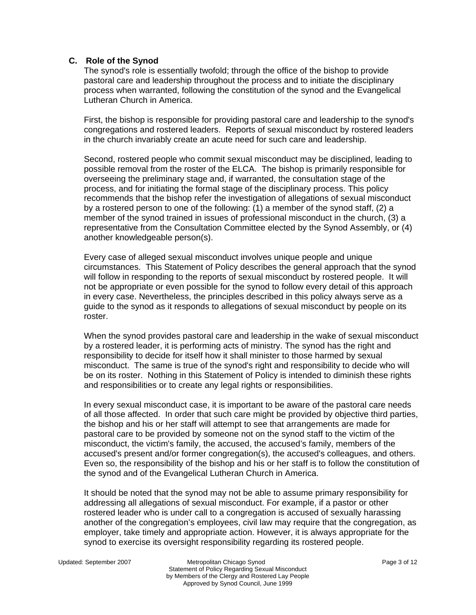### **C. Role of the Synod**

The synod's role is essentially twofold; through the office of the bishop to provide pastoral care and leadership throughout the process and to initiate the disciplinary process when warranted, following the constitution of the synod and the Evangelical Lutheran Church in America.

First, the bishop is responsible for providing pastoral care and leadership to the synod's congregations and rostered leaders. Reports of sexual misconduct by rostered leaders in the church invariably create an acute need for such care and leadership.

Second, rostered people who commit sexual misconduct may be disciplined, leading to possible removal from the roster of the ELCA. The bishop is primarily responsible for overseeing the preliminary stage and, if warranted, the consultation stage of the process, and for initiating the formal stage of the disciplinary process. This policy recommends that the bishop refer the investigation of allegations of sexual misconduct by a rostered person to one of the following: (1) a member of the synod staff, (2) a member of the synod trained in issues of professional misconduct in the church, (3) a representative from the Consultation Committee elected by the Synod Assembly, or (4) another knowledgeable person(s).

Every case of alleged sexual misconduct involves unique people and unique circumstances. This Statement of Policy describes the general approach that the synod will follow in responding to the reports of sexual misconduct by rostered people. It will not be appropriate or even possible for the synod to follow every detail of this approach in every case. Nevertheless, the principles described in this policy always serve as a guide to the synod as it responds to allegations of sexual misconduct by people on its roster.

When the synod provides pastoral care and leadership in the wake of sexual misconduct by a rostered leader, it is performing acts of ministry. The synod has the right and responsibility to decide for itself how it shall minister to those harmed by sexual misconduct. The same is true of the synod's right and responsibility to decide who will be on its roster. Nothing in this Statement of Policy is intended to diminish these rights and responsibilities or to create any legal rights or responsibilities.

In every sexual misconduct case, it is important to be aware of the pastoral care needs of all those affected. In order that such care might be provided by objective third parties, the bishop and his or her staff will attempt to see that arrangements are made for pastoral care to be provided by someone not on the synod staff to the victim of the misconduct, the victim's family, the accused, the accused's family, members of the accused's present and/or former congregation(s), the accused's colleagues, and others. Even so, the responsibility of the bishop and his or her staff is to follow the constitution of the synod and of the Evangelical Lutheran Church in America.

It should be noted that the synod may not be able to assume primary responsibility for addressing all allegations of sexual misconduct. For example, if a pastor or other rostered leader who is under call to a congregation is accused of sexually harassing another of the congregation's employees, civil law may require that the congregation, as employer, take timely and appropriate action. However, it is always appropriate for the synod to exercise its oversight responsibility regarding its rostered people.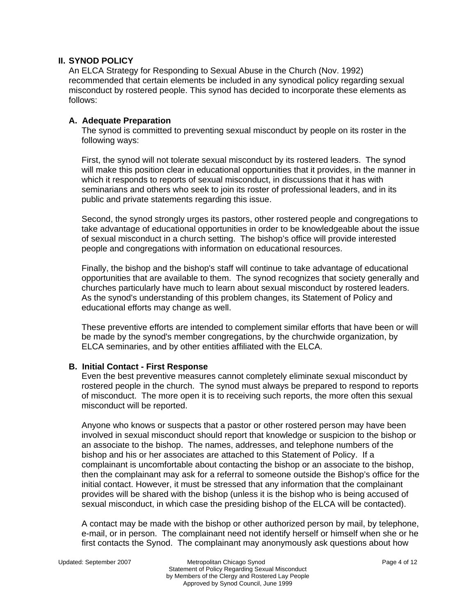# **II. SYNOD POLICY**

An ELCA Strategy for Responding to Sexual Abuse in the Church (Nov. 1992) recommended that certain elements be included in any synodical policy regarding sexual misconduct by rostered people. This synod has decided to incorporate these elements as follows:

# **A. Adequate Preparation**

The synod is committed to preventing sexual misconduct by people on its roster in the following ways:

First, the synod will not tolerate sexual misconduct by its rostered leaders. The synod will make this position clear in educational opportunities that it provides, in the manner in which it responds to reports of sexual misconduct, in discussions that it has with seminarians and others who seek to join its roster of professional leaders, and in its public and private statements regarding this issue.

Second, the synod strongly urges its pastors, other rostered people and congregations to take advantage of educational opportunities in order to be knowledgeable about the issue of sexual misconduct in a church setting. The bishop's office will provide interested people and congregations with information on educational resources.

Finally, the bishop and the bishop's staff will continue to take advantage of educational opportunities that are available to them. The synod recognizes that society generally and churches particularly have much to learn about sexual misconduct by rostered leaders. As the synod's understanding of this problem changes, its Statement of Policy and educational efforts may change as well.

These preventive efforts are intended to complement similar efforts that have been or will be made by the synod's member congregations, by the churchwide organization, by ELCA seminaries, and by other entities affiliated with the ELCA.

### **B. Initial Contact - First Response**

Even the best preventive measures cannot completely eliminate sexual misconduct by rostered people in the church. The synod must always be prepared to respond to reports of misconduct. The more open it is to receiving such reports, the more often this sexual misconduct will be reported.

Anyone who knows or suspects that a pastor or other rostered person may have been involved in sexual misconduct should report that knowledge or suspicion to the bishop or an associate to the bishop. The names, addresses, and telephone numbers of the bishop and his or her associates are attached to this Statement of Policy. If a complainant is uncomfortable about contacting the bishop or an associate to the bishop, then the complainant may ask for a referral to someone outside the Bishop's office for the initial contact. However, it must be stressed that any information that the complainant provides will be shared with the bishop (unless it is the bishop who is being accused of sexual misconduct, in which case the presiding bishop of the ELCA will be contacted).

A contact may be made with the bishop or other authorized person by mail, by telephone, e-mail, or in person. The complainant need not identify herself or himself when she or he first contacts the Synod. The complainant may anonymously ask questions about how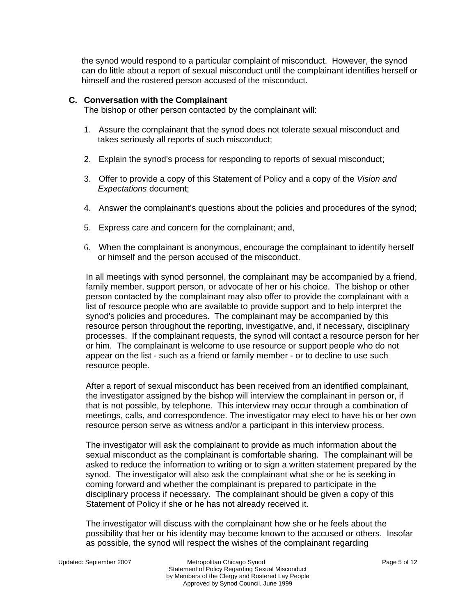the synod would respond to a particular complaint of misconduct. However, the synod can do little about a report of sexual misconduct until the complainant identifies herself or himself and the rostered person accused of the misconduct.

### **C. Conversation with the Complainant**

The bishop or other person contacted by the complainant will:

- 1. Assure the complainant that the synod does not tolerate sexual misconduct and takes seriously all reports of such misconduct;
- 2. Explain the synod's process for responding to reports of sexual misconduct;
- 3. Offer to provide a copy of this Statement of Policy and a copy of the *Vision and Expectations* document;
- 4. Answer the complainant's questions about the policies and procedures of the synod;
- 5. Express care and concern for the complainant; and,
- 6. When the complainant is anonymous, encourage the complainant to identify herself or himself and the person accused of the misconduct.

In all meetings with synod personnel, the complainant may be accompanied by a friend, family member, support person, or advocate of her or his choice. The bishop or other person contacted by the complainant may also offer to provide the complainant with a list of resource people who are available to provide support and to help interpret the synod's policies and procedures. The complainant may be accompanied by this resource person throughout the reporting, investigative, and, if necessary, disciplinary processes. If the complainant requests, the synod will contact a resource person for her or him. The complainant is welcome to use resource or support people who do not appear on the list - such as a friend or family member - or to decline to use such resource people.

After a report of sexual misconduct has been received from an identified complainant, the investigator assigned by the bishop will interview the complainant in person or, if that is not possible, by telephone. This interview may occur through a combination of meetings, calls, and correspondence. The investigator may elect to have his or her own resource person serve as witness and/or a participant in this interview process.

The investigator will ask the complainant to provide as much information about the sexual misconduct as the complainant is comfortable sharing. The complainant will be asked to reduce the information to writing or to sign a written statement prepared by the synod. The investigator will also ask the complainant what she or he is seeking in coming forward and whether the complainant is prepared to participate in the disciplinary process if necessary. The complainant should be given a copy of this Statement of Policy if she or he has not already received it.

The investigator will discuss with the complainant how she or he feels about the possibility that her or his identity may become known to the accused or others. Insofar as possible, the synod will respect the wishes of the complainant regarding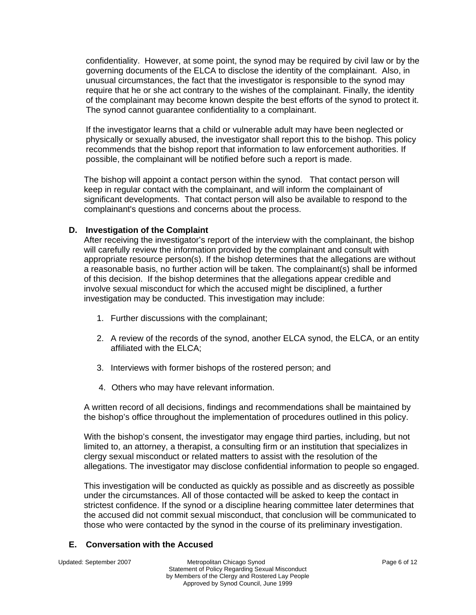confidentiality. However, at some point, the synod may be required by civil law or by the governing documents of the ELCA to disclose the identity of the complainant. Also, in unusual circumstances, the fact that the investigator is responsible to the synod may require that he or she act contrary to the wishes of the complainant. Finally, the identity of the complainant may become known despite the best efforts of the synod to protect it. The synod cannot guarantee confidentiality to a complainant.

If the investigator learns that a child or vulnerable adult may have been neglected or physically or sexually abused, the investigator shall report this to the bishop. This policy recommends that the bishop report that information to law enforcement authorities. If possible, the complainant will be notified before such a report is made.

The bishop will appoint a contact person within the synod. That contact person will keep in regular contact with the complainant, and will inform the complainant of significant developments. That contact person will also be available to respond to the complainant's questions and concerns about the process.

### **D. Investigation of the Complaint**

After receiving the investigator's report of the interview with the complainant, the bishop will carefully review the information provided by the complainant and consult with appropriate resource person(s). If the bishop determines that the allegations are without a reasonable basis, no further action will be taken. The complainant(s) shall be informed of this decision. If the bishop determines that the allegations appear credible and involve sexual misconduct for which the accused might be disciplined, a further investigation may be conducted. This investigation may include:

- 1. Further discussions with the complainant;
- 2. A review of the records of the synod, another ELCA synod, the ELCA, or an entity affiliated with the ELCA;
- 3. Interviews with former bishops of the rostered person; and
- 4. Others who may have relevant information.

A written record of all decisions, findings and recommendations shall be maintained by the bishop's office throughout the implementation of procedures outlined in this policy.

With the bishop's consent, the investigator may engage third parties, including, but not limited to, an attorney, a therapist, a consulting firm or an institution that specializes in clergy sexual misconduct or related matters to assist with the resolution of the allegations. The investigator may disclose confidential information to people so engaged.

This investigation will be conducted as quickly as possible and as discreetly as possible under the circumstances. All of those contacted will be asked to keep the contact in strictest confidence. If the synod or a discipline hearing committee later determines that the accused did not commit sexual misconduct, that conclusion will be communicated to those who were contacted by the synod in the course of its preliminary investigation.

# **E. Conversation with the Accused**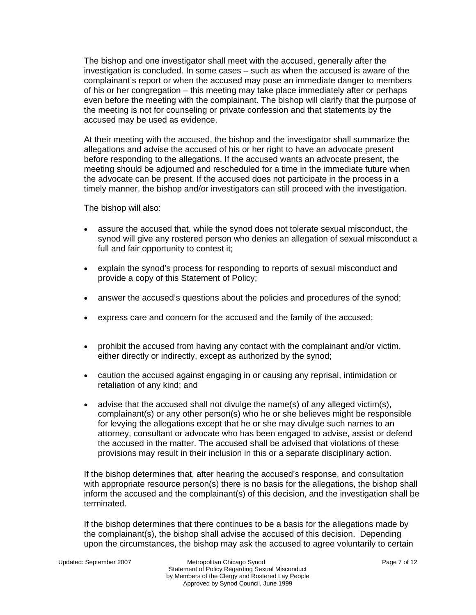The bishop and one investigator shall meet with the accused, generally after the investigation is concluded. In some cases – such as when the accused is aware of the complainant's report or when the accused may pose an immediate danger to members of his or her congregation – this meeting may take place immediately after or perhaps even before the meeting with the complainant. The bishop will clarify that the purpose of the meeting is not for counseling or private confession and that statements by the accused may be used as evidence.

At their meeting with the accused, the bishop and the investigator shall summarize the allegations and advise the accused of his or her right to have an advocate present before responding to the allegations. If the accused wants an advocate present, the meeting should be adjourned and rescheduled for a time in the immediate future when the advocate can be present. If the accused does not participate in the process in a timely manner, the bishop and/or investigators can still proceed with the investigation.

The bishop will also:

- assure the accused that, while the synod does not tolerate sexual misconduct, the synod will give any rostered person who denies an allegation of sexual misconduct a full and fair opportunity to contest it;
- explain the synod's process for responding to reports of sexual misconduct and provide a copy of this Statement of Policy;
- answer the accused's questions about the policies and procedures of the synod;
- express care and concern for the accused and the family of the accused;
- prohibit the accused from having any contact with the complainant and/or victim, either directly or indirectly, except as authorized by the synod;
- caution the accused against engaging in or causing any reprisal, intimidation or retaliation of any kind; and
- advise that the accused shall not divulge the name(s) of any alleged victim(s), complainant(s) or any other person(s) who he or she believes might be responsible for levying the allegations except that he or she may divulge such names to an attorney, consultant or advocate who has been engaged to advise, assist or defend the accused in the matter. The accused shall be advised that violations of these provisions may result in their inclusion in this or a separate disciplinary action.

If the bishop determines that, after hearing the accused's response, and consultation with appropriate resource person(s) there is no basis for the allegations, the bishop shall inform the accused and the complainant(s) of this decision, and the investigation shall be terminated.

If the bishop determines that there continues to be a basis for the allegations made by the complainant(s), the bishop shall advise the accused of this decision. Depending upon the circumstances, the bishop may ask the accused to agree voluntarily to certain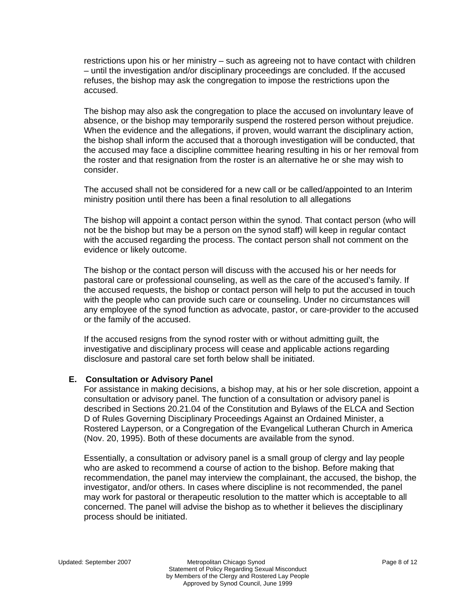restrictions upon his or her ministry – such as agreeing not to have contact with children – until the investigation and/or disciplinary proceedings are concluded. If the accused refuses, the bishop may ask the congregation to impose the restrictions upon the accused.

The bishop may also ask the congregation to place the accused on involuntary leave of absence, or the bishop may temporarily suspend the rostered person without prejudice. When the evidence and the allegations, if proven, would warrant the disciplinary action, the bishop shall inform the accused that a thorough investigation will be conducted, that the accused may face a discipline committee hearing resulting in his or her removal from the roster and that resignation from the roster is an alternative he or she may wish to consider.

The accused shall not be considered for a new call or be called/appointed to an Interim ministry position until there has been a final resolution to all allegations

The bishop will appoint a contact person within the synod. That contact person (who will not be the bishop but may be a person on the synod staff) will keep in regular contact with the accused regarding the process. The contact person shall not comment on the evidence or likely outcome.

The bishop or the contact person will discuss with the accused his or her needs for pastoral care or professional counseling, as well as the care of the accused's family. If the accused requests, the bishop or contact person will help to put the accused in touch with the people who can provide such care or counseling. Under no circumstances will any employee of the synod function as advocate, pastor, or care-provider to the accused or the family of the accused.

If the accused resigns from the synod roster with or without admitting guilt, the investigative and disciplinary process will cease and applicable actions regarding disclosure and pastoral care set forth below shall be initiated.

### **E. Consultation or Advisory Panel**

For assistance in making decisions, a bishop may, at his or her sole discretion, appoint a consultation or advisory panel. The function of a consultation or advisory panel is described in Sections 20.21.04 of the Constitution and Bylaws of the ELCA and Section D of Rules Governing Disciplinary Proceedings Against an Ordained Minister, a Rostered Layperson, or a Congregation of the Evangelical Lutheran Church in America (Nov. 20, 1995). Both of these documents are available from the synod.

Essentially, a consultation or advisory panel is a small group of clergy and lay people who are asked to recommend a course of action to the bishop. Before making that recommendation, the panel may interview the complainant, the accused, the bishop, the investigator, and/or others. In cases where discipline is not recommended, the panel may work for pastoral or therapeutic resolution to the matter which is acceptable to all concerned. The panel will advise the bishop as to whether it believes the disciplinary process should be initiated.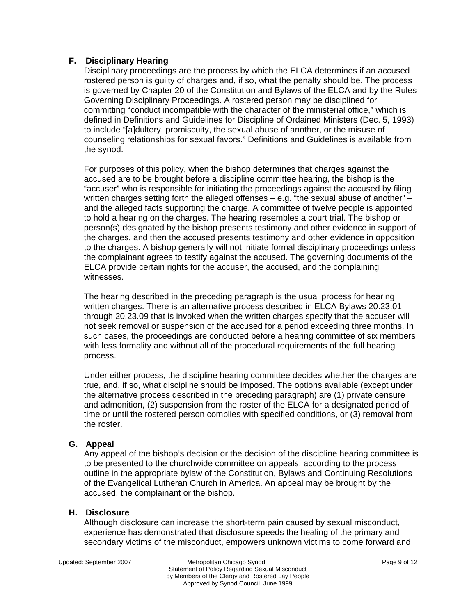# **F. Disciplinary Hearing**

Disciplinary proceedings are the process by which the ELCA determines if an accused rostered person is guilty of charges and, if so, what the penalty should be. The process is governed by Chapter 20 of the Constitution and Bylaws of the ELCA and by the Rules Governing Disciplinary Proceedings. A rostered person may be disciplined for committing "conduct incompatible with the character of the ministerial office," which is defined in Definitions and Guidelines for Discipline of Ordained Ministers (Dec. 5, 1993) to include "[a]dultery, promiscuity, the sexual abuse of another, or the misuse of counseling relationships for sexual favors." Definitions and Guidelines is available from the synod.

For purposes of this policy, when the bishop determines that charges against the accused are to be brought before a discipline committee hearing, the bishop is the "accuser" who is responsible for initiating the proceedings against the accused by filing written charges setting forth the alleged offenses – e.g. "the sexual abuse of another" – and the alleged facts supporting the charge. A committee of twelve people is appointed to hold a hearing on the charges. The hearing resembles a court trial. The bishop or person(s) designated by the bishop presents testimony and other evidence in support of the charges, and then the accused presents testimony and other evidence in opposition to the charges. A bishop generally will not initiate formal disciplinary proceedings unless the complainant agrees to testify against the accused. The governing documents of the ELCA provide certain rights for the accuser, the accused, and the complaining witnesses.

The hearing described in the preceding paragraph is the usual process for hearing written charges. There is an alternative process described in ELCA Bylaws 20.23.01 through 20.23.09 that is invoked when the written charges specify that the accuser will not seek removal or suspension of the accused for a period exceeding three months. In such cases, the proceedings are conducted before a hearing committee of six members with less formality and without all of the procedural requirements of the full hearing process.

Under either process, the discipline hearing committee decides whether the charges are true, and, if so, what discipline should be imposed. The options available (except under the alternative process described in the preceding paragraph) are (1) private censure and admonition, (2) suspension from the roster of the ELCA for a designated period of time or until the rostered person complies with specified conditions, or (3) removal from the roster.

### **G. Appeal**

Any appeal of the bishop's decision or the decision of the discipline hearing committee is to be presented to the churchwide committee on appeals, according to the process outline in the appropriate bylaw of the Constitution, Bylaws and Continuing Resolutions of the Evangelical Lutheran Church in America. An appeal may be brought by the accused, the complainant or the bishop.

# **H. Disclosure**

Although disclosure can increase the short-term pain caused by sexual misconduct, experience has demonstrated that disclosure speeds the healing of the primary and secondary victims of the misconduct, empowers unknown victims to come forward and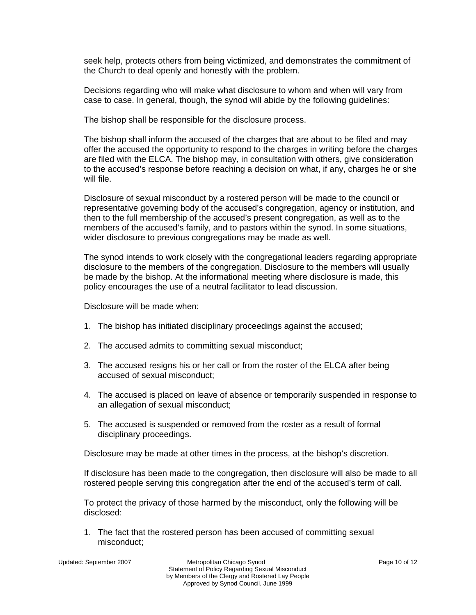seek help, protects others from being victimized, and demonstrates the commitment of the Church to deal openly and honestly with the problem.

Decisions regarding who will make what disclosure to whom and when will vary from case to case. In general, though, the synod will abide by the following guidelines:

The bishop shall be responsible for the disclosure process.

The bishop shall inform the accused of the charges that are about to be filed and may offer the accused the opportunity to respond to the charges in writing before the charges are filed with the ELCA. The bishop may, in consultation with others, give consideration to the accused's response before reaching a decision on what, if any, charges he or she will file.

Disclosure of sexual misconduct by a rostered person will be made to the council or representative governing body of the accused's congregation, agency or institution, and then to the full membership of the accused's present congregation, as well as to the members of the accused's family, and to pastors within the synod. In some situations, wider disclosure to previous congregations may be made as well.

The synod intends to work closely with the congregational leaders regarding appropriate disclosure to the members of the congregation. Disclosure to the members will usually be made by the bishop. At the informational meeting where disclosure is made, this policy encourages the use of a neutral facilitator to lead discussion.

Disclosure will be made when:

- 1. The bishop has initiated disciplinary proceedings against the accused;
- 2. The accused admits to committing sexual misconduct;
- 3. The accused resigns his or her call or from the roster of the ELCA after being accused of sexual misconduct;
- 4. The accused is placed on leave of absence or temporarily suspended in response to an allegation of sexual misconduct;
- 5. The accused is suspended or removed from the roster as a result of formal disciplinary proceedings.

Disclosure may be made at other times in the process, at the bishop's discretion.

If disclosure has been made to the congregation, then disclosure will also be made to all rostered people serving this congregation after the end of the accused's term of call.

To protect the privacy of those harmed by the misconduct, only the following will be disclosed:

1. The fact that the rostered person has been accused of committing sexual misconduct;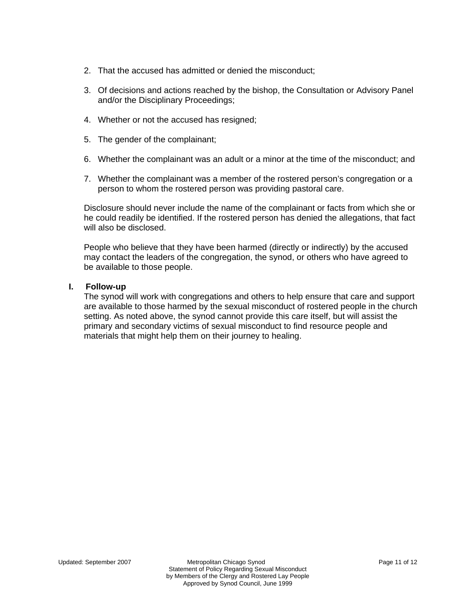- 2. That the accused has admitted or denied the misconduct;
- 3. Of decisions and actions reached by the bishop, the Consultation or Advisory Panel and/or the Disciplinary Proceedings;
- 4. Whether or not the accused has resigned;
- 5. The gender of the complainant;
- 6. Whether the complainant was an adult or a minor at the time of the misconduct; and
- 7. Whether the complainant was a member of the rostered person's congregation or a person to whom the rostered person was providing pastoral care.

Disclosure should never include the name of the complainant or facts from which she or he could readily be identified. If the rostered person has denied the allegations, that fact will also be disclosed.

People who believe that they have been harmed (directly or indirectly) by the accused may contact the leaders of the congregation, the synod, or others who have agreed to be available to those people.

### **I. Follow-up**

The synod will work with congregations and others to help ensure that care and support are available to those harmed by the sexual misconduct of rostered people in the church setting. As noted above, the synod cannot provide this care itself, but will assist the primary and secondary victims of sexual misconduct to find resource people and materials that might help them on their journey to healing.